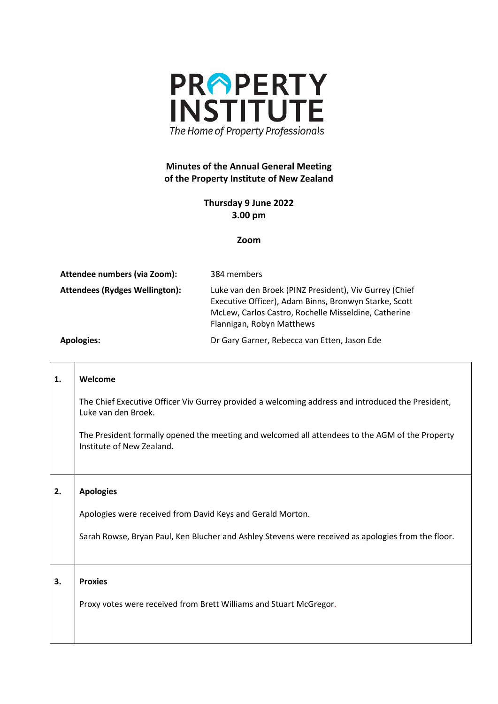

## **Minutes of the Annual General Meeting of the Property Institute of New Zealand**

## **Thursday 9 June 2022 3.00 pm**

## **Zoom**

| Attendee numbers (via Zoom):   | 384 members                                                                                                                                                                                          |
|--------------------------------|------------------------------------------------------------------------------------------------------------------------------------------------------------------------------------------------------|
| Attendees (Rydges Wellington): | Luke van den Broek (PINZ President), Viv Gurrey (Chief<br>Executive Officer), Adam Binns, Bronwyn Starke, Scott<br>McLew, Carlos Castro, Rochelle Misseldine, Catherine<br>Flannigan, Robyn Matthews |
| <b>Apologies:</b>              | Dr Gary Garner, Rebecca van Etten, Jason Ede                                                                                                                                                         |

 $\Box$ 

 $\overline{\phantom{a}}$ 

| 1. | Welcome                                                                                                                      |
|----|------------------------------------------------------------------------------------------------------------------------------|
|    | The Chief Executive Officer Viv Gurrey provided a welcoming address and introduced the President,<br>Luke van den Broek.     |
|    | The President formally opened the meeting and welcomed all attendees to the AGM of the Property<br>Institute of New Zealand. |
|    |                                                                                                                              |
| 2. | <b>Apologies</b>                                                                                                             |
|    |                                                                                                                              |
|    | Apologies were received from David Keys and Gerald Morton.                                                                   |
|    | Sarah Rowse, Bryan Paul, Ken Blucher and Ashley Stevens were received as apologies from the floor.                           |
|    |                                                                                                                              |
| 3. | <b>Proxies</b>                                                                                                               |
|    | Proxy votes were received from Brett Williams and Stuart McGregor.                                                           |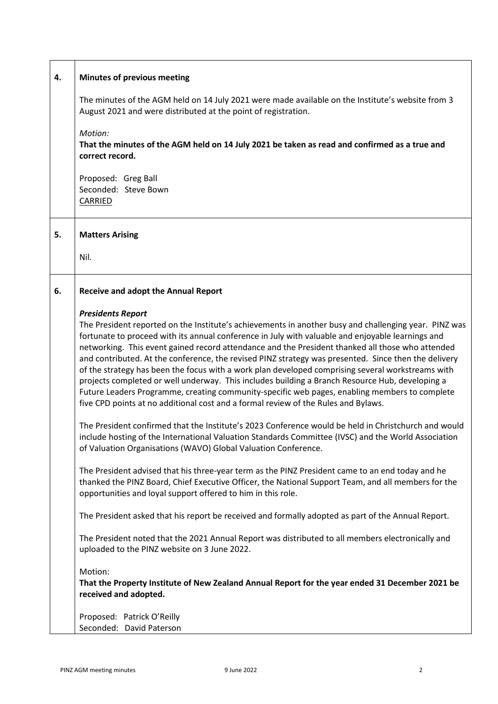| 4. | <b>Minutes of previous meeting</b>                                                                                                                                                                                                                                                                                                                                                                                                                                                                                                                                                                                                                                                                                                                                                                                                                |
|----|---------------------------------------------------------------------------------------------------------------------------------------------------------------------------------------------------------------------------------------------------------------------------------------------------------------------------------------------------------------------------------------------------------------------------------------------------------------------------------------------------------------------------------------------------------------------------------------------------------------------------------------------------------------------------------------------------------------------------------------------------------------------------------------------------------------------------------------------------|
|    | The minutes of the AGM held on 14 July 2021 were made available on the Institute's website from 3<br>August 2021 and were distributed at the point of registration.                                                                                                                                                                                                                                                                                                                                                                                                                                                                                                                                                                                                                                                                               |
|    | Motion:<br>That the minutes of the AGM held on 14 July 2021 be taken as read and confirmed as a true and<br>correct record.                                                                                                                                                                                                                                                                                                                                                                                                                                                                                                                                                                                                                                                                                                                       |
|    | Proposed: Greg Ball<br>Seconded: Steve Bown<br>CARRIED                                                                                                                                                                                                                                                                                                                                                                                                                                                                                                                                                                                                                                                                                                                                                                                            |
| 5. | <b>Matters Arising</b>                                                                                                                                                                                                                                                                                                                                                                                                                                                                                                                                                                                                                                                                                                                                                                                                                            |
|    | Nil.                                                                                                                                                                                                                                                                                                                                                                                                                                                                                                                                                                                                                                                                                                                                                                                                                                              |
| 6. | <b>Receive and adopt the Annual Report</b>                                                                                                                                                                                                                                                                                                                                                                                                                                                                                                                                                                                                                                                                                                                                                                                                        |
|    | <b>Presidents Report</b><br>The President reported on the Institute's achievements in another busy and challenging year. PINZ was<br>fortunate to proceed with its annual conference in July with valuable and enjoyable learnings and<br>networking. This event gained record attendance and the President thanked all those who attended<br>and contributed. At the conference, the revised PINZ strategy was presented. Since then the delivery<br>of the strategy has been the focus with a work plan developed comprising several workstreams with<br>projects completed or well underway. This includes building a Branch Resource Hub, developing a<br>Future Leaders Programme, creating community-specific web pages, enabling members to complete<br>five CPD points at no additional cost and a formal review of the Rules and Bylaws. |
|    | The President confirmed that the Institute's 2023 Conference would be held in Christchurch and would<br>include hosting of the International Valuation Standards Committee (IVSC) and the World Association<br>of Valuation Organisations (WAVO) Global Valuation Conference.                                                                                                                                                                                                                                                                                                                                                                                                                                                                                                                                                                     |
|    | The President advised that his three-year term as the PINZ President came to an end today and he<br>thanked the PINZ Board, Chief Executive Officer, the National Support Team, and all members for the<br>opportunities and loyal support offered to him in this role.                                                                                                                                                                                                                                                                                                                                                                                                                                                                                                                                                                           |
|    | The President asked that his report be received and formally adopted as part of the Annual Report.                                                                                                                                                                                                                                                                                                                                                                                                                                                                                                                                                                                                                                                                                                                                                |
|    | The President noted that the 2021 Annual Report was distributed to all members electronically and<br>uploaded to the PINZ website on 3 June 2022.                                                                                                                                                                                                                                                                                                                                                                                                                                                                                                                                                                                                                                                                                                 |
|    | Motion:<br>That the Property Institute of New Zealand Annual Report for the year ended 31 December 2021 be<br>received and adopted.                                                                                                                                                                                                                                                                                                                                                                                                                                                                                                                                                                                                                                                                                                               |
|    | Proposed: Patrick O'Reilly<br>Seconded: David Paterson                                                                                                                                                                                                                                                                                                                                                                                                                                                                                                                                                                                                                                                                                                                                                                                            |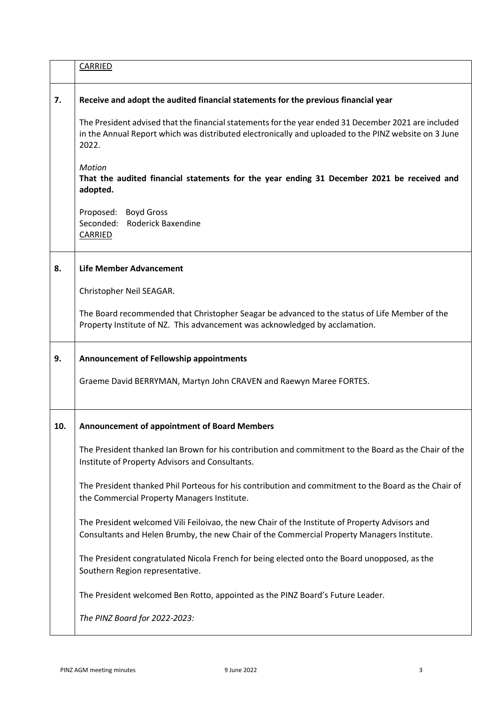|     | CARRIED                                                                                                                                                                                                               |
|-----|-----------------------------------------------------------------------------------------------------------------------------------------------------------------------------------------------------------------------|
| 7.  | Receive and adopt the audited financial statements for the previous financial year                                                                                                                                    |
|     | The President advised that the financial statements for the year ended 31 December 2021 are included<br>in the Annual Report which was distributed electronically and uploaded to the PINZ website on 3 June<br>2022. |
|     | <b>Motion</b><br>That the audited financial statements for the year ending 31 December 2021 be received and<br>adopted.                                                                                               |
|     | Proposed: Boyd Gross<br>Seconded:<br><b>Roderick Baxendine</b><br>CARRIED                                                                                                                                             |
| 8.  | <b>Life Member Advancement</b>                                                                                                                                                                                        |
|     | Christopher Neil SEAGAR.                                                                                                                                                                                              |
|     | The Board recommended that Christopher Seagar be advanced to the status of Life Member of the<br>Property Institute of NZ. This advancement was acknowledged by acclamation.                                          |
| 9.  | <b>Announcement of Fellowship appointments</b>                                                                                                                                                                        |
|     | Graeme David BERRYMAN, Martyn John CRAVEN and Raewyn Maree FORTES.                                                                                                                                                    |
| 10. | <b>Announcement of appointment of Board Members</b>                                                                                                                                                                   |
|     | The President thanked Ian Brown for his contribution and commitment to the Board as the Chair of the<br>Institute of Property Advisors and Consultants.                                                               |
|     | The President thanked Phil Porteous for his contribution and commitment to the Board as the Chair of<br>the Commercial Property Managers Institute.                                                                   |
|     | The President welcomed Vili Feiloivao, the new Chair of the Institute of Property Advisors and<br>Consultants and Helen Brumby, the new Chair of the Commercial Property Managers Institute.                          |
|     | The President congratulated Nicola French for being elected onto the Board unopposed, as the<br>Southern Region representative.                                                                                       |
|     | The President welcomed Ben Rotto, appointed as the PINZ Board's Future Leader.                                                                                                                                        |
|     |                                                                                                                                                                                                                       |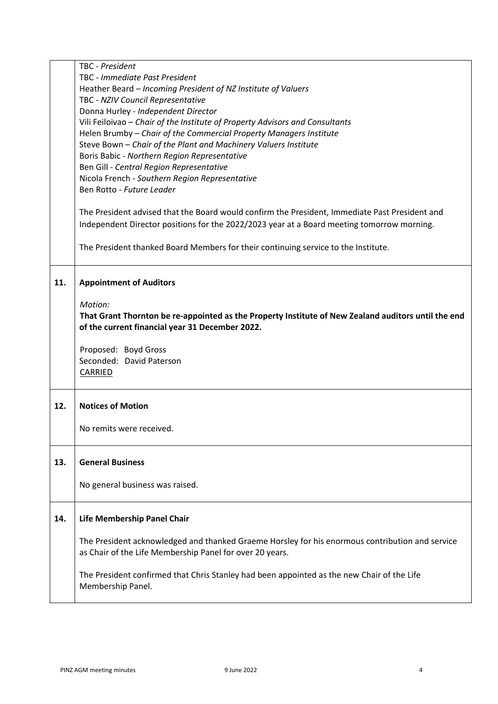|     | TBC - President                                                                                     |
|-----|-----------------------------------------------------------------------------------------------------|
|     | TBC - Immediate Past President                                                                      |
|     | Heather Beard - Incoming President of NZ Institute of Valuers                                       |
|     | TBC - NZIV Council Representative                                                                   |
|     | Donna Hurley - Independent Director                                                                 |
|     | Vili Feiloivao - Chair of the Institute of Property Advisors and Consultants                        |
|     | Helen Brumby - Chair of the Commercial Property Managers Institute                                  |
|     | Steve Bown - Chair of the Plant and Machinery Valuers Institute                                     |
|     | Boris Babic - Northern Region Representative                                                        |
|     | Ben Gill - Central Region Representative                                                            |
|     | Nicola French - Southern Region Representative                                                      |
|     | Ben Rotto - Future Leader                                                                           |
|     |                                                                                                     |
|     | The President advised that the Board would confirm the President, Immediate Past President and      |
|     | Independent Director positions for the 2022/2023 year at a Board meeting tomorrow morning.          |
|     |                                                                                                     |
|     |                                                                                                     |
|     | The President thanked Board Members for their continuing service to the Institute.                  |
|     |                                                                                                     |
| 11. | <b>Appointment of Auditors</b>                                                                      |
|     |                                                                                                     |
|     | Motion:                                                                                             |
|     | That Grant Thornton be re-appointed as the Property Institute of New Zealand auditors until the end |
|     | of the current financial year 31 December 2022.                                                     |
|     |                                                                                                     |
|     |                                                                                                     |
|     | Proposed: Boyd Gross                                                                                |
|     | Seconded: David Paterson                                                                            |
|     | <b>CARRIED</b>                                                                                      |
|     |                                                                                                     |
|     |                                                                                                     |
| 12. | <b>Notices of Motion</b>                                                                            |
|     |                                                                                                     |
|     | No remits were received.                                                                            |
|     |                                                                                                     |
|     | <b>General Business</b>                                                                             |
| 13. |                                                                                                     |
|     | No general business was raised.                                                                     |
|     |                                                                                                     |
|     |                                                                                                     |
| 14. | Life Membership Panel Chair                                                                         |
|     |                                                                                                     |
|     | The President acknowledged and thanked Graeme Horsley for his enormous contribution and service     |
|     | as Chair of the Life Membership Panel for over 20 years.                                            |
|     |                                                                                                     |
|     | The President confirmed that Chris Stanley had been appointed as the new Chair of the Life          |
|     | Membership Panel.                                                                                   |